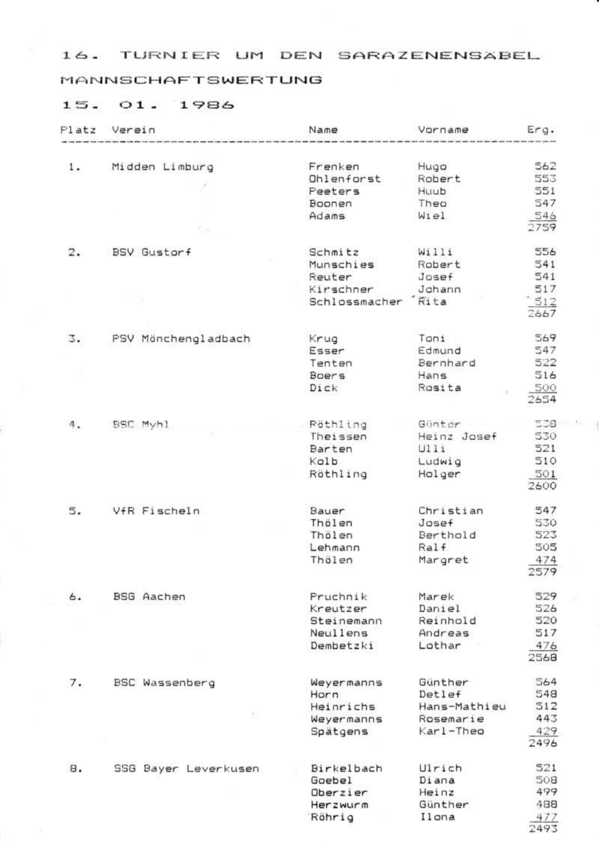#### MANNSCHAFTSWERTUNG

| P1atz | Verein                | Name          | Vorname      | Erg. |
|-------|-----------------------|---------------|--------------|------|
|       |                       |               |              |      |
| 1.    | Midden Limburg        | Frenken       | Hugo         | 562  |
|       |                       | Ohlenforst    | Robert       | 553  |
|       |                       | Peeters       | Huub         | 551  |
|       |                       | Boonen        | Theo         | 547  |
|       |                       | Adams         | Wiel         | 546  |
|       |                       |               |              | 2759 |
| 2.    | BSV Gustorf           | Schmitz       | Willi        | 556  |
|       |                       | Munschies     | Robert       | 541  |
|       |                       | Reuter        | Josef        | 541  |
|       |                       | Kirschner     | Johann       | 517  |
|       |                       | Schlossmacher | Rita         | 512  |
|       |                       |               |              | 2667 |
| 3.    | PSV Mönchengladbach   | Krug          | Tani         | 569  |
|       |                       | Esser         | Edmund       | 547  |
|       |                       | Tenten        | Bernhard     | 522  |
|       |                       | Boers         | Hans         | 516  |
|       |                       | Dick          | Rosita       | 500  |
|       |                       |               |              | 2654 |
| 4.    | BSC Myhl              | Röthling      | Günter       | 538  |
|       |                       | Theissen      | Heinz Josef  | 530  |
|       |                       | Barten        | U11i         | 521  |
|       |                       | Kolb          | Ludwig       | 510  |
|       |                       | Röthling      | Holger       | 501  |
|       |                       |               |              | 2600 |
| 5.    | VfR Fischeln          | Bauer         | Christian    | 547  |
|       |                       | Thölen        | Jenee        | 530  |
|       |                       | Thölen        | Berthold     | 523  |
|       |                       | Lehmann       | Ralf         | 505  |
|       |                       | Thölen        | Margret      | 474  |
|       |                       |               |              | 2579 |
| 6.    | BSG Aachen            | Pruchnik      | Marek        | 529  |
|       |                       | Kreutzer      | Daniel       | 526  |
|       |                       | Steinemann    | Reinhold     | 520  |
|       |                       | Neullens      | Andreas      | 517  |
|       |                       | Dembetzki     | Lothar       | 476  |
|       |                       |               |              | 2568 |
| 7.    | <b>BSC Wassenberg</b> | Wevermanns    | Günther      | 564  |
|       |                       | Horn          | Detlef       | 548  |
|       |                       | Heinrichs     | Hans-Mathieu | 312  |
|       |                       | Wevermanns    | Rosemarie    | 443  |
|       |                       | Spatgens      | Karl-Theo    | 429  |
|       |                       |               |              | 2496 |
| 8.    | SSG Bayer Leverkusen  | Birkelbach    | Ulrich       | 521  |
|       |                       | Goebel        | Diana        | 508  |
|       |                       | Oberzier      | Heinz        | 499  |
|       |                       | Herzwurm      | Günther      | 488  |
|       |                       | Röhrig        | Ilona        | 477  |
|       |                       |               |              | 2493 |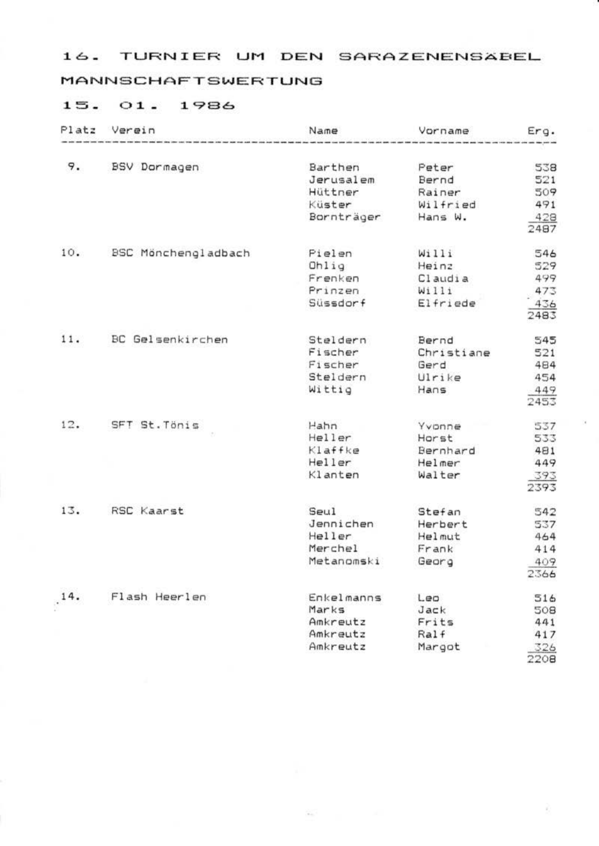### **MANNSCHAFTSWERTUNG**

| Platz | Verein                     | Name       | Vorname    | Erg.        |
|-------|----------------------------|------------|------------|-------------|
| 9.    | <b>BSV Dormagen</b>        | Barthen    | Peter      | 538         |
|       |                            | Jerusalem  | Bernd      | 521         |
|       |                            | Hüttner    | Rainer     | 509         |
|       |                            | Küster     | Wilfried   | 491         |
|       |                            |            |            |             |
|       |                            | Bornträger | Hans W.    | 428<br>2487 |
| 10.   | <b>BSC Mönchengladbach</b> | Pielen     | Wi11i      | 546         |
|       |                            | Ohlig      | Heinz      | 529         |
|       |                            | Frenken    | Claudia    | 499         |
|       |                            | Prinzen    | W1111      | 473         |
|       |                            | Süssdorf   | Elfriede   | 436<br>2483 |
| 11.   | BC Gelsenkirchen           | Steldern   | Bernd      | 545         |
|       |                            | Fischer    | Christiane | 521         |
|       |                            | Fischer    | Gerd       | 484         |
|       |                            | Steldern   | Ulrike     | 454         |
|       |                            | Wittig     | Hans       | 449<br>2453 |
| 12.   | SFT St. Tönis              | Hahn       | Yvanne     | 537         |
|       |                            | Heller     | Harst      | 533         |
|       |                            | Klaffke    | Bernhard   | 481         |
|       |                            | Heller     | Helmer     | 449         |
|       |                            | Klanten    | Walter     | 393<br>2393 |
| 13.   | RSC Kaarst                 | Seul       | Stefan     | 542         |
|       |                            | Jennichen  | Herbert    | 537         |
|       |                            | Heller     | Helmut     | 464         |
|       |                            | Merchel    | Frank      | 414         |
|       |                            | Metanomski | Georg      | 409<br>2366 |
| 14.   | Flash Heerlen              | Enkelmanns | $L$ eg     | 516         |
|       |                            | Marks      | Jack       | 508         |
|       |                            | Amkreutz   | Frits      | 441         |
|       |                            | Amkreutz   | Ralf       | 417         |
|       |                            | Amkreutz   | Margot     | 326<br>2208 |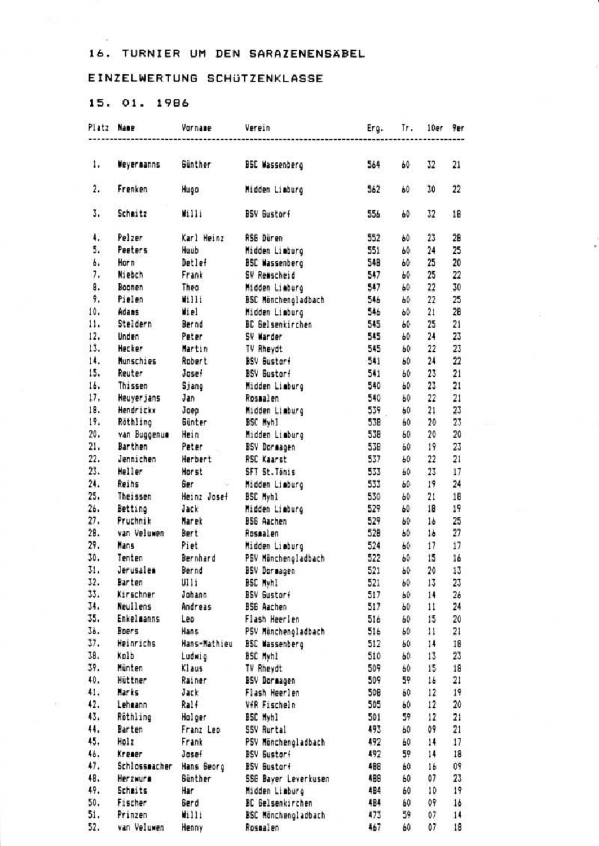#### EINZELWERTUNG SCHÜTZENKLASSE

# 15, 01, 1986

| Platz Name   |                              | Vornane             | Verein                            | Erg.       | Tr.      | 10er                | 9er                     |
|--------------|------------------------------|---------------------|-----------------------------------|------------|----------|---------------------|-------------------------|
| 1.           | <b>Neverganns</b>            | <b>Sinther</b>      | <b>BSC Wassenberg</b>             | 564        | 60       | 32                  | 21                      |
|              |                              |                     |                                   |            |          |                     |                         |
| $\mathbf{2}$ | Frenken                      | Hugo                | Midden Liaburg                    | 562        | 60       | 30                  | 22                      |
| 3.           | Scheitz                      | Wi111               | <b>RSV Sustant</b>                | 556        | 60       | 17                  | 18                      |
| 4.           | Pelzer                       | Karl Heinz          | RSS Düren                         | 552        | 60       | 23                  | 28                      |
| s.           | Paaters                      | Houth               | Midden Liaburg                    | 551        | 60       | 24                  | 25                      |
| b.           | Horn                         | Detlef              | <b>BSC Wassenberg</b>             | 548        | 60       | 25                  | 20                      |
| 7.           | Niebch                       | Frank               | SV Reascheid                      | 547        | 60       | 25                  | 22                      |
| 8.           | Boonen                       | Theo                | <b>Hidden Liaburg</b>             | 547        | 60       | $\boldsymbol{\eta}$ | 30                      |
| ۰.           | Pieleo                       | Willi               | BSC Hönchengladbach               | 546        | 60       | $\boldsymbol{\eta}$ | 25                      |
| 10.          | Adams                        | Wiel                | Midden Liaburg                    | 546        | 60       | 21                  | 28                      |
| 11.          | Steldern                     | Bernd               | BC Gelsenkirchen                  | 545        | 60       | 25                  | 21                      |
| 12.          | Unden                        | Peter               | SV Marder                         | 545        | 60       | 24                  | 23                      |
| 13.          | Hecker                       | Martin              | TV Rheydt                         | 545        | 60       | 22                  | 23                      |
| 14.          | Munschies                    | Robert              | <b>BSV Gustorf</b>                | 541        | 60       | 24                  | $\overline{\mathbf{z}}$ |
| 15.          | Reuter                       | Josef               | BSV Gustorf                       | 541        | 60       | 23                  | 21                      |
| 16.          | Thissen                      | Sjang               | Midden Liaburo                    | 540        | 60       | 23                  | 21                      |
| 17.          | Heaver Jans                  | Jan                 | Rosaalen                          | 540        | 60       | 22                  | 21                      |
| 18.          | Hendricks                    | Joen                | <b>Midden Lieburg</b>             | 539        | 60       | 21                  | 23                      |
| 19.          | Röthling                     | <b>Günter</b>       | BSC Hyb1                          | 538        | 40       | 20<br>×             | 23                      |
| 20.          | van Buggenus Hein            |                     | Midden Liaburg                    | 538        | 60       | 20 <sub>1</sub>     | 20                      |
| 21.          | Barthan                      | Peter               | BSV Dormagen                      | 538        | 60       | 19                  | 23                      |
| 22.          | Jennichen                    | Herbert             | <b>RSC Kaarst</b>                 | 537        | 60       | 22                  | 21                      |
| 23.          | Heller                       | Horst               | SFT St. Tenis                     | 533        | 60       | 23                  | 17                      |
| 24.          | Reihs                        | <b>Bar</b>          | Hidden Liaburg                    | 533        | 60       | 19                  | 24                      |
| 25.          | Theissen                     | Heinz Josef         | BSC Myh1                          | 530        | 60       | 21                  | 18                      |
| 24.          | Betting                      | Jack                | Midden Liaburo                    | 529        | 60       | 18                  | 19                      |
| 27.          | Pruchnik                     | Marek               | <b>BSG Aachen</b>                 | 529        | 60       | 16                  | 25                      |
| 28.          | van Veluwen                  | Bert                | Rosealen                          | 528        | 60       | 16                  | $\overline{\mathbf{z}}$ |
| 29.          | Hans                         | Piet                | Midden Liaburg                    | 524        | 60       | 17                  | 17                      |
| 10.          | Tenten                       | Bernhard            | PSV Mönchengladbach               | 522        | 60       | 15                  | 16                      |
| 31.          | Jerusales                    | Bernd               | BSV Dormagen                      | 521        | 60       | $\infty$            | 13                      |
| 32.          | Barten                       | U115                | <b>BSC Byh)</b>                   | 521        | 60       | 13                  | 23                      |
| 33.<br>34.   | Kirschner<br><b>Neulless</b> | Johann<br>Andreas   | BSV Gustorf                       | 517<br>517 | 60       | 14                  | 2 <sub>b</sub><br>24    |
| 15.          | Enkelmanns                   | Leo.                | <b>BSG Aachen</b>                 |            | 60       | $\mathbf{11}$       |                         |
| 36.          | Boars                        | <b>Hans</b>         | Flash Heerlen                     | 516<br>516 | 60       | 15                  | 20<br>21                |
| 37.          | Heinrichs                    | <b>Hans-Mathieu</b> | PSV Monchengladbach               | 512        | 60       | $\mathbf{11}$<br>14 | 18                      |
| IS.          | Kolb                         | Ludwig              | <b>BSC Wassenberg</b><br>BSC Myhl | 510        | 60       | 13                  | 23                      |
| 39.          | Minten                       | Klaus               | TV Rheydt                         | 509        | 60<br>60 | 15                  | 18                      |
| 40.          | Hittner                      | Rainer              | BSV Dormagen                      | 509        | 59       | 16                  | 21                      |
| 41.          | Marks                        | Jack                | Flash Heerlen                     | 508        | 60       | 12                  | 19                      |
| 42.          | Lehsann                      | Ra16                | VfR Fischeln                      | 505        | 60       | 12                  | 20                      |
| 43.          | Röthling                     | Holcer              | BSC Myhl                          | 501        | 59       | 12                  | 21                      |
| 44.          | Barten                       | Franz Leo           | SSV Rurtal                        | 493        | 60       | 09                  | 21                      |
| 45.          | Holz                         | Frank               | PSV Mönchengladbach               | 492        | 60       | 14                  | 17                      |
| 46.          | Kroser                       | Josef               | BSV Bustori                       | 492        | 59       | 14                  | 18                      |
| 47.          | Schlossmacher Hans Beorg     |                     | <b>BSV Bustorf</b>                | 488        | 60       | 16                  | 09                      |
| 48.          | Herzwura                     | Sinther             | <b>SSB Baver Leverkusen</b>       | 489        | 60       | 07                  | 23                      |
| 49.          | Schmits                      | <b>Har</b>          | Midden Lieburo                    | 484        | 60       | 10                  | 19                      |
| 50.          | Fischer                      | Gerd                | BC Gelsenkirchen                  | 484        | 60       | 09                  | 16                      |
| 51.          | Prinzen                      | Willi               | BSC Mänchengladbach               | 473        | 59       | 07                  | 14                      |
|              | 52. van Veluwen              | Henny               | Rosaalen                          | 467        | 60       | 07                  | 18                      |
|              |                              |                     |                                   |            |          |                     |                         |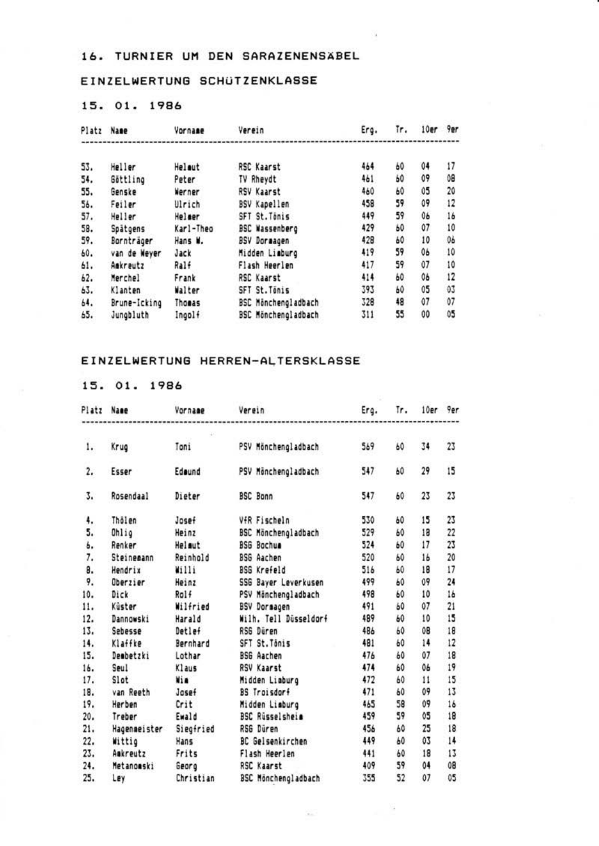### EINZELWERTUNG SCHUTZENKLASSE

# 15. 01. 1986

| Platz | Name              | Vornage   | Verein                     | Erg. | Tr. | 10er 9er |    |
|-------|-------------------|-----------|----------------------------|------|-----|----------|----|
|       |                   |           |                            |      |     |          |    |
| 53.   | Heller            | Helout    | <b>RSC Kaarst</b>          | 464  | 60  | 04       | 17 |
| 54.   | Göttling          | Peter     | TV Rhevdt                  | 461  | 60  | 09       | 0B |
| 55.   | Genske            | Werner    | <b>RSV Kaarst</b>          | 460  | 60  | ¢5       | 20 |
| 56.   | Feiler            | Ulrich    | BSV Kapellen               | 458  | 59  | 09       | 12 |
| 57.   | Heller            | Heleer    | SFT St. Ténis              | 449  | 59  | 06       | 16 |
| 59.   | Spätoens          | Karl-Theo | <b>BSC Wassenberg</b>      | 429  | 60  | 07       | 10 |
| 59.   | <b>Sonnträger</b> | Hans M.   | <b>BSV Dorazoen</b>        | 428  | 60  | 10       | 06 |
| 60.   | van de Weyer      | Jack      | Midden Liaburg             | 419  | 59  | 06       | 10 |
| 61.   | Amkreutz          | Ralf      | Flash Hearlen              | 417  | 59  | 07       | 10 |
| 62.   | Merchel           | Frank     | <b>RSC Kaarst</b>          | 414  | 60  | 06       | 12 |
| 63.   | Klanten           | Walter    | SFT St. Ténis              | 393  | 60  | 05       | 03 |
| 64.   | Brune-Icking      | Thomas    | <b>BSC Minchengladbach</b> | 328  | 48  | $Q$ 7    | 07 |
| 65.   | Junobluth         | Ingolf    | <b>BSC Hönchengladbach</b> | 311  | 55  | 00       | 05 |

#### EINZELWERTUNG HERREN-ALTERSKLASSE

| Platz          | <b>Name</b>     | Vornage   | Verein                 | Erg.<br>--------------- | Īr. | 10er 9er       |                 |
|----------------|-----------------|-----------|------------------------|-------------------------|-----|----------------|-----------------|
| 1.             | Krug            | Toni      | PSV Mönchengladbach    | 569                     | 60  | 14             | 23              |
| 2.             | Esser           | Edeund    | PSV Hönchengladbach    | 547                     | 60  | 29             | 15              |
| 3.             | Rosendaal       | Dieter    | <b>BSC Bonn</b>        | 547                     | 60  | 23             | 23              |
| 4.             | Thölen          | Josef     | VfR Fischeln           | 530                     | 60  | 15             | 23              |
| 5.             | Ohlio           | Heinz     | BSC Mönchengladbach    | 529                     | 60  | 18             | 22              |
| ь.             | Renker          | Helmut    | <b>RSS Rochua</b>      | 524                     | 60  | 17             | 23              |
| $\overline{1}$ | Steineeann      | Reinhold  | <b>RSS Aachen</b>      | 520                     | 60  | 16             | 20              |
| 8.             | Hendrix         | W1111     | <b>BSG Krefeld</b>     | 516                     | 60  | 18             | $\overline{17}$ |
| 9.             | <b>Cherrier</b> | Heinz     | SSG Baver Leverkusen   | 499                     | w   | 09             | 24              |
| 10.            | Dick            | Rol f     | PSV Minchengladbach    | 498                     | мà  | 10             | 16              |
| 11.            | Küster          | Wilfried  | <b>BSV Dormasen</b>    | 491                     | 60  | 07             | 21              |
| 12.            | Dannowski       | Harald    | Wilh, Tell Disseldorf  | 489                     | 60  | 10             | 15              |
| 13.            | Sebesse         | Detlef    | <b>RSS Diren</b>       | 486                     | 60  | 0B             | 18              |
| 14.            | Klaffke         | Bernhard  | SFT St. Tánis          | 481                     | 60  | 14             | 12              |
| 15.            | Deabetzki       | Lothar    | <b>BSG Aachen</b>      | 476                     | 60  | 07             | 18              |
| 16.            | Seul            | Klaus     | <b>RSV Kaarst</b>      | 474                     | 60  | 0 <sub>k</sub> | 19              |
| 17.            | Slot            | Wie       | Midden Liaburg         | 472                     | 60  | 11             | 15              |
| 18.            | van Reeth       | Josef     | BS Troisdorf           | 471                     | 60  | 09             | 13              |
| 19.            | Herben          | Crit      | Midden Liaburg         | 465                     | 58  | û۹             | 16              |
| 20.            | Treber          | Ewald     | <b>BSC Rüsselsheim</b> | 459                     | 59  | 05             | 18              |
| 21.            | Hagenseister    | Siegfried | RSS Düren              | 456                     | ÁÔ. | 25             | 18              |
| 22.            | Wittie          | Hans      | BC Gelsenkirchen       | 449                     | 60  | 03             | 14              |
| 23.            | Ambreutz        | Frits     | Flash Heerlen          | 441                     | 60  | 18             | 13              |
| 24.            | Metanouski      | Georg     | <b>RSC Kaarst</b>      | 409                     | 59  | 04             | 0B              |
| 25.            | Ley             | Christian | BSC Mönchengladbach    | 355                     | 52  | 07             | 05              |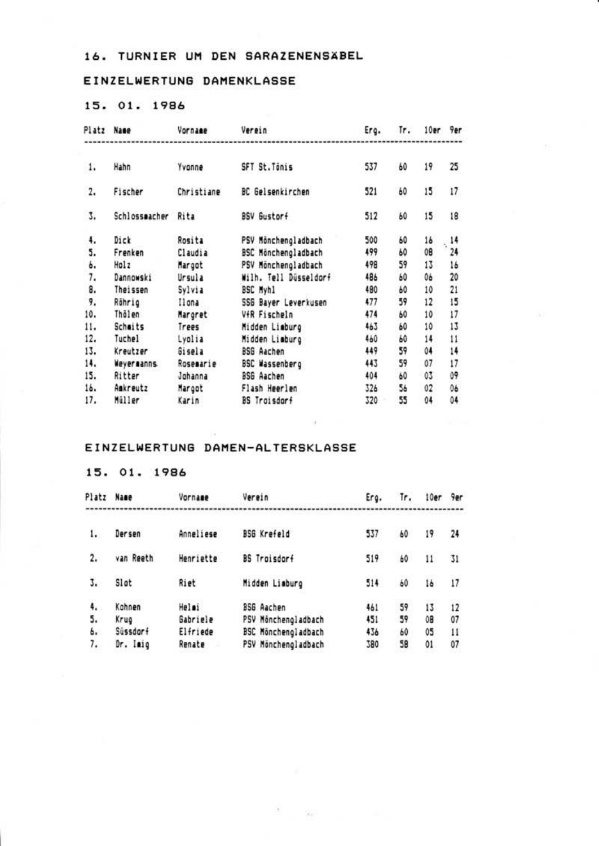### EINZELWERTUNG DAMENKLASSE

# 15. 01. 1986

| Platz | <b>Name</b>       | Vornage    | Verein                  | Erq. | Tr. | 10er | <b>Per</b> |
|-------|-------------------|------------|-------------------------|------|-----|------|------------|
| 1.    | Hahn              | Yvonne     | SFT St. Tónis           | 537  | 60  | 19   | 25         |
| 2.    | Fischer           | Christiane | <b>BC Gelsenkirchen</b> | 521  | 60  | 15   | 17         |
| 3.    | Schlosspacher     | Rita       | RSV Bustorf             | 512  | 60  | 15   | 18         |
| 4.    | Dick              | Rosita     | PSV Mänchengladbach     | 500  | 60  | 16   | $14$       |
| 5.    | Frenken           | Claudia    | BSC Minchengladbach     | 499  | 60  | 0B   | 24         |
| Ь.    | Holz              | Margot     | PSV Månchengladbach     | 498  | 59  | 13   | 16         |
| 7.    | Dannowski         | Ursula     | Wilh. Tell Düsseldorf   | 486  | 60  | 0b   | 20         |
| 8.    | Theissen          | Sylvia     | BSC Hyb1                | 480  | 60  | 10   | 21         |
| 9.    | Réhrig            | Il on a    | SSG Bayer Leverkusen    | 477  | 59  | 12   | 15         |
| 10.   | Thälen            | Margret    | VfR Fischeln            | 474  | 60  | 10   | 17         |
| 11.   | Schoits           | Trees      | Midden Liaburg          | 463  | 60  | 10   | 13         |
| 12.   | Tuchel            | Lyplia     | Midden Liaburg          | 460  | 60  | 14   | 11         |
| 13.   | Kreutzer          | Sisela     | 856 Aachen              | 449  | 59  | 04   | 14         |
| 14.   | <b>Nevermanns</b> | Rosemarie  | <b>BSC Wassenberg</b>   | 443  | 59  | 07   | 17         |
| 15.   | Ritter            | Johanna    | <b>BSG Aachen</b>       | 404  | 60  | 03   | û9         |
| 16.   | Amkreutz          | Margot     | Flash Heerlen           | 326  | 56  | 02   | 06         |
| 17.   | Müller            | Karin      | <b>BS</b> Troisdorf     | 320  | 55  | 04   | 04         |

#### EINZELWERTUNG DAMEN-ALTERSKLASSE

| Platz Name     |                            | Vornage                       | Verein                                                          | Erg.              | Tr.            | 10er           | 9er                      |
|----------------|----------------------------|-------------------------------|-----------------------------------------------------------------|-------------------|----------------|----------------|--------------------------|
| 1.             | Dersen                     | Anneliese                     | <b>BSG Krofeld</b>                                              | 537               | 60             | 19             | 24                       |
| 2.             | van Reeth                  | Henriette                     | BS Traisdorf                                                    | 519               | 60             | 11             | 31                       |
| 3.             | Slot                       | Rist                          | Midden Liaburg                                                  | 514               | 60             | 16             | 17                       |
| 4,<br>5.<br>ь. | Kohnen<br>Krug<br>Süssdarf | Helmi<br>Gabriele<br>Elfriede | 356 Aachen<br>PSV Minchengladbach<br><b>BSC Hinchengladbach</b> | 461<br>451<br>436 | 59<br>59<br>60 | 13<br>0B<br>05 | 12<br>07<br>$\mathbf{H}$ |
| 1.             | Or. Imio                   | Renate                        | PSV Minchengladbach                                             | 380               | 58             | $_{01}$        | 07                       |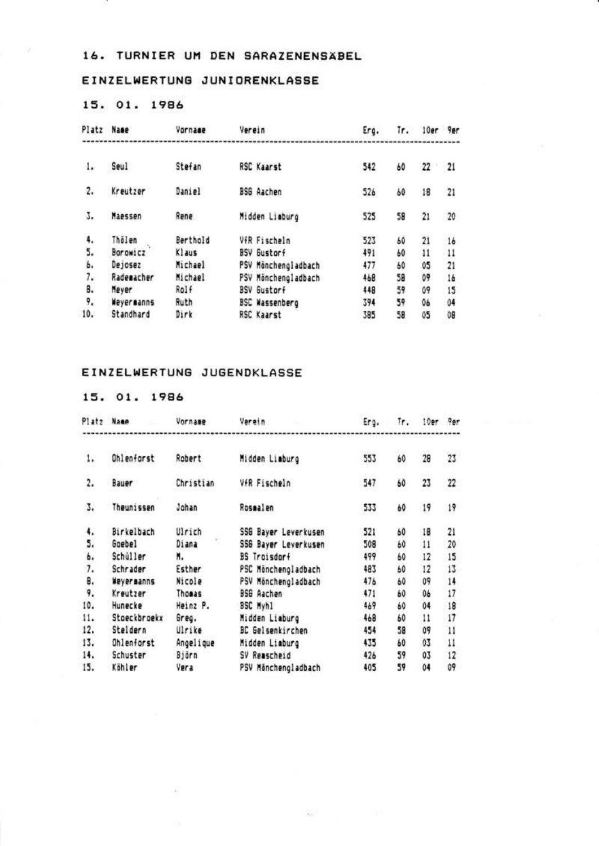# EINZELWERTUNG JUNIORENKLASSE

## 15. 01. 1986

| Platz | Name       | Vornage     | Verein                | Ero. | Ir. | 10er 9er |    |
|-------|------------|-------------|-----------------------|------|-----|----------|----|
| 1.    | Seul       | Stefan      | <b>RSC Kaarst</b>     | 542  | 60  | 22       | 21 |
|       |            |             |                       |      |     |          |    |
| 2.    | Kreutzer   | Daniel      | <b>BSG Aarhen</b>     | 526  | 60  | 18       | 21 |
| 3.    | Maassan    | Rene        | Midden Liaburo        | 525  | 58  | 21       | 20 |
| 4.    | Thölen     | Berthold    | VfR Fischeln          | 523  | 60  | 21       | 16 |
| 5.    | Borowicz   | Klaus       | <b>BSV Bustorf</b>    | 491  | 60  | 11       | 11 |
| ь.    | Dejosez    | Michael     | PSV Mänchenoladbach   | 477  | 60  | 05       | 21 |
| 7.    | Rademacher | Michael     | PSV Mänchenoladbach   | 468  | 58  | 09       | 16 |
| 8.    | Nover      | Rolf        | <b>BSV Gustorf</b>    | 448  | 59  | 09       | 15 |
| 9.    | Weverganns | <b>Buth</b> | <b>BSC Wassenbero</b> | 394  | 59  | 06       | 04 |
| 10.   | Standhard  | Dirk        | RSC Kaarst            | 385  | 58  | 05       | 08 |

# EINZELWERTUNG JUGENDKLASSE

| Platz                    | <b>Name</b>   | Vornage   | Versin                      | Era. | Tr. | 10er Per |                 |
|--------------------------|---------------|-----------|-----------------------------|------|-----|----------|-----------------|
| 1.                       | Ohlenforst    | Robert    | Midden Liaburg              | 553  | 60  | 28       | 23              |
| $\mathfrak{p}$ .         | Bauer         | Christian | VfR Fischeln                | 547  | 60  | 23       | 22              |
| 3.                       | Theunissen    | Johan     | Rosealen                    | 533  | 60  | 19       | 19              |
| 4.                       | Birkelbach    | Ulrich    | <b>SSB Baver Leverkusen</b> | 521  | 60  | 18       | 21              |
| \$.                      | <b>Goebel</b> | Diana     | SSG Bayer Leverkusen        | 508  | 60  | 11       | 20              |
| ь.                       | Schüller      | N.        | <b>BS</b> Troisdorf         | 499  | 60  | 12       | 15              |
| $\overline{\phantom{a}}$ | Schrader      | Esther    | PSC Minchengladbach         | 483  | 60  | 12       | 13              |
| 8.                       | Never nanns   | Nicole    | PSV Minchengladbach         | 476  | 60  | 09       | 14              |
| 9.                       | Kreutzer      | Thomas    | <b>BSG Aachen</b>           | 471  | 60  | 06       | $\overline{1}$  |
| 10.                      | Hunecke       | Heinz P.  | <b>SSC Mvh1</b>             | 469  | 60  | 04       | 18              |
| 11.                      | Stoeckbroeks  | Greg.     | Midden Liaburg              | 468  | 60  | 11       | $\overline{17}$ |
| 12.                      | Steldern      | Ulrike    | <b>BC</b> Gelsenkirchen     | 454  | 58  | 09       | $\overline{1}$  |
| 13.                      | Ohlenforst    | Angelique | Midden Liaburg              | 435  | 60  | 03       | $\mathbf{1}$    |
| 14.                      | Schuster      | Biarn     | SV Reascheid                | 426  | 59  | 03       | 12              |
| 15.                      | Köhler        | Vera      | PSV Minchengladbach         | 405  | 59  | 04       | Q9              |